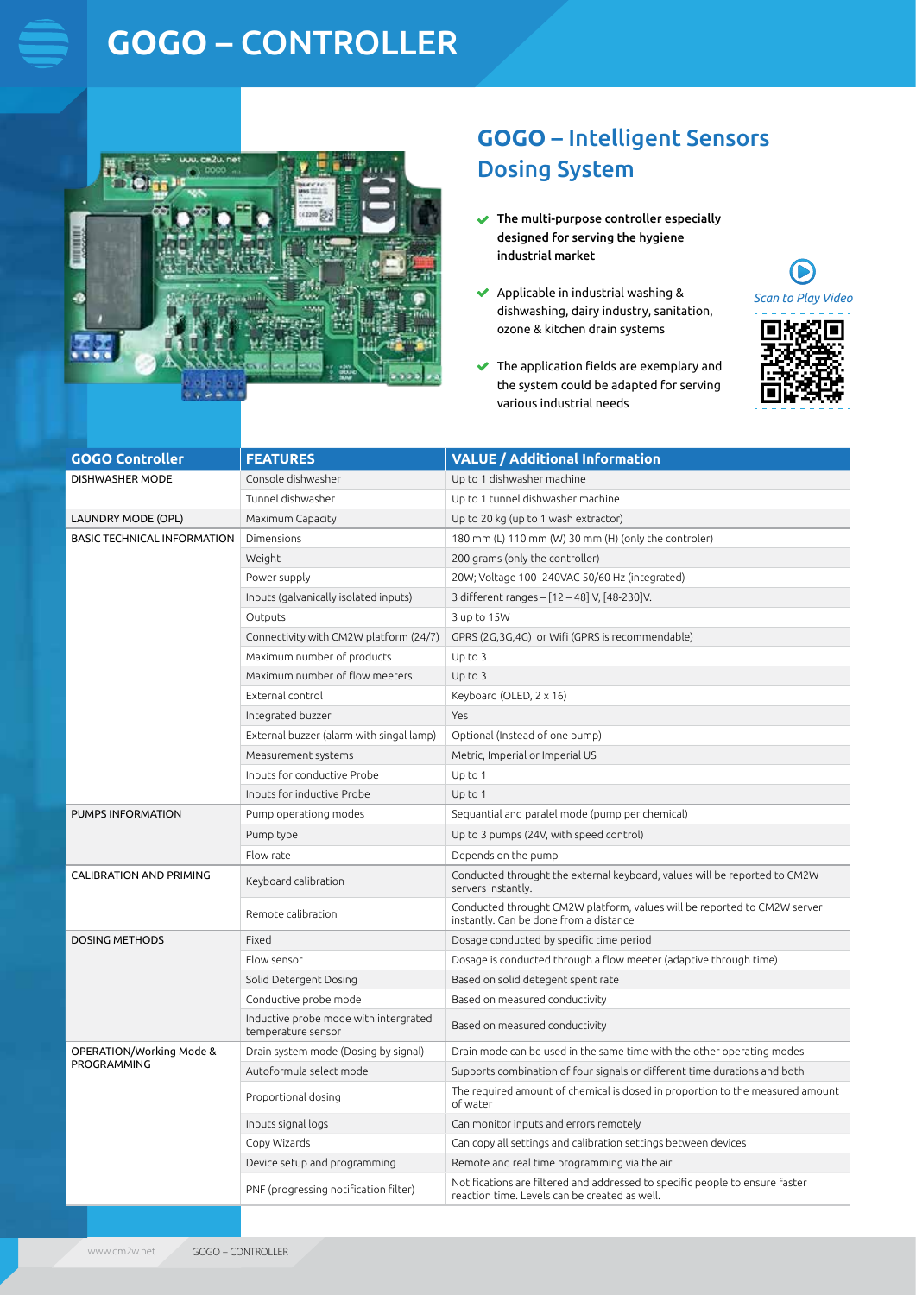# **GOGO** – CONTROLLER



### **GOGO** – Intelligent Sensors Dosing System

- $\checkmark$ The multi-purpose controller especially designed for serving the hygiene industrial market
- $\blacklozenge$  Applicable in industrial washing & dishwashing, dairy industry, sanitation, ozone & kitchen drain systems



 $\blacktriangleright$ 

The application fields are exemplary and the system could be adapted for serving various industrial needs

| <b>GOGO Controller</b>                  | <b>FEATURES</b>                                             | <b>VALUE / Additional Information</b>                                                                                         |
|-----------------------------------------|-------------------------------------------------------------|-------------------------------------------------------------------------------------------------------------------------------|
| <b>DISHWASHER MODE</b>                  | Console dishwasher                                          | Up to 1 dishwasher machine                                                                                                    |
|                                         | Tunnel dishwasher                                           | Up to 1 tunnel dishwasher machine                                                                                             |
| LAUNDRY MODE (OPL)                      | Maximum Capacity                                            | Up to 20 kg (up to 1 wash extractor)                                                                                          |
| <b>BASIC TECHNICAL INFORMATION</b>      | Dimensions                                                  | 180 mm (L) 110 mm (W) 30 mm (H) (only the controler)                                                                          |
|                                         | Weight                                                      | 200 grams (only the controller)                                                                                               |
|                                         | Power supply                                                | 20W; Voltage 100-240VAC 50/60 Hz (integrated)                                                                                 |
|                                         | Inputs (galvanically isolated inputs)                       | 3 different ranges - [12 - 48] V, [48-230]V.                                                                                  |
|                                         | Outputs                                                     | 3 up to 15W                                                                                                                   |
|                                         | Connectivity with CM2W platform (24/7)                      | GPRS (2G,3G,4G) or Wifi (GPRS is recommendable)                                                                               |
|                                         | Maximum number of products                                  | $Up$ to $3$                                                                                                                   |
|                                         | Maximum number of flow meeters                              | $Up$ to $3$                                                                                                                   |
|                                         | External control                                            | Keyboard (OLED, 2 x 16)                                                                                                       |
|                                         | Integrated buzzer                                           | Yes                                                                                                                           |
|                                         | External buzzer (alarm with singal lamp)                    | Optional (Instead of one pump)                                                                                                |
|                                         | Measurement systems                                         | Metric, Imperial or Imperial US                                                                                               |
|                                         | Inputs for conductive Probe                                 | Up to 1                                                                                                                       |
|                                         | Inputs for inductive Probe                                  | $Up$ to 1                                                                                                                     |
| <b>PUMPS INFORMATION</b>                | Pump operationg modes                                       | Sequantial and paralel mode (pump per chemical)                                                                               |
|                                         | Pump type                                                   | Up to 3 pumps (24V, with speed control)                                                                                       |
|                                         | Flow rate                                                   | Depends on the pump                                                                                                           |
| <b>CALIBRATION AND PRIMING</b>          | Keyboard calibration                                        | Conducted throught the external keyboard, values will be reported to CM2W<br>servers instantly.                               |
|                                         | Remote calibration                                          | Conducted throught CM2W platform, values will be reported to CM2W server<br>instantly. Can be done from a distance            |
| <b>DOSING METHODS</b>                   | Fixed                                                       | Dosage conducted by specific time period                                                                                      |
|                                         | Flow sensor                                                 | Dosage is conducted through a flow meeter (adaptive through time)                                                             |
|                                         | Solid Detergent Dosing                                      | Based on solid detegent spent rate                                                                                            |
|                                         | Conductive probe mode                                       | Based on measured conductivity                                                                                                |
|                                         | Inductive probe mode with intergrated<br>temperature sensor | Based on measured conductivity                                                                                                |
| OPERATION/Working Mode &<br>PROGRAMMING | Drain system mode (Dosing by signal)                        | Drain mode can be used in the same time with the other operating modes                                                        |
|                                         | Autoformula select mode                                     | Supports combination of four signals or different time durations and both                                                     |
|                                         | Proportional dosing                                         | The required amount of chemical is dosed in proportion to the measured amount<br>of water                                     |
|                                         | Inputs signal logs                                          | Can monitor inputs and errors remotely                                                                                        |
|                                         | Copy Wizards                                                | Can copy all settings and calibration settings between devices                                                                |
|                                         | Device setup and programming                                | Remote and real time programming via the air                                                                                  |
|                                         | PNF (progressing notification filter)                       | Notifications are filtered and addressed to specific people to ensure faster<br>reaction time. Levels can be created as well. |
|                                         |                                                             |                                                                                                                               |